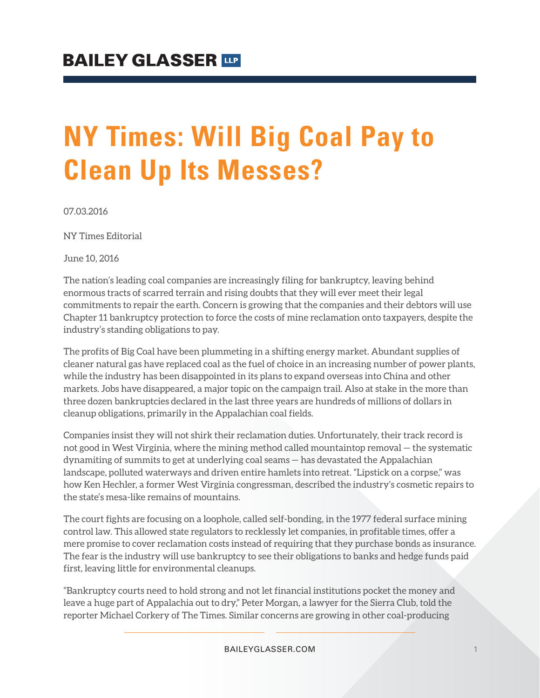## **NY Times: Will Big Coal Pay to Clean Up Its Messes?**

07.03.2016

NY Times Editorial

June 10, 2016

The nation's leading coal companies are increasingly filing for bankruptcy, leaving behind enormous tracts of scarred terrain and rising doubts that they will ever meet their legal commitments to repair the earth. Concern is growing that the companies and their debtors will use Chapter 11 bankruptcy protection to force the costs of mine reclamation onto taxpayers, despite the industry's standing obligations to pay.

The profits of Big Coal have been plummeting in a shifting energy market. Abundant supplies of cleaner natural gas have replaced coal as the fuel of choice in an increasing number of power plants, while the industry has been disappointed in its plans to expand overseas into China and other markets. Jobs have disappeared, a major topic on the campaign trail. Also at stake in the more than three dozen bankruptcies declared in the last three years are hundreds of millions of dollars in cleanup obligations, primarily in the Appalachian coal fields.

Companies insist they will not shirk their reclamation duties. Unfortunately, their track record is not good in West Virginia, where the mining method called mountaintop removal — the systematic dynamiting of summits to get at underlying coal seams — has devastated the Appalachian landscape, polluted waterways and driven entire hamlets into retreat. "Lipstick on a corpse," was how Ken Hechler, a former West Virginia congressman, described the industry's cosmetic repairs to the state's mesa-like remains of mountains.

The court fights are focusing on a loophole, called self-bonding, in the 1977 federal surface mining control law. This allowed state regulators to recklessly let companies, in profitable times, offer a mere promise to cover reclamation costs instead of requiring that they purchase bonds as insurance. The fear is the industry will use bankruptcy to see their obligations to banks and hedge funds paid first, leaving little for environmental cleanups.

"Bankruptcy courts need to hold strong and not let financial institutions pocket the money and leave a huge part of Appalachia out to dry," Peter Morgan, a lawyer for the Sierra Club, told the reporter Michael Corkery of The Times. Similar concerns are growing in other coal-producing